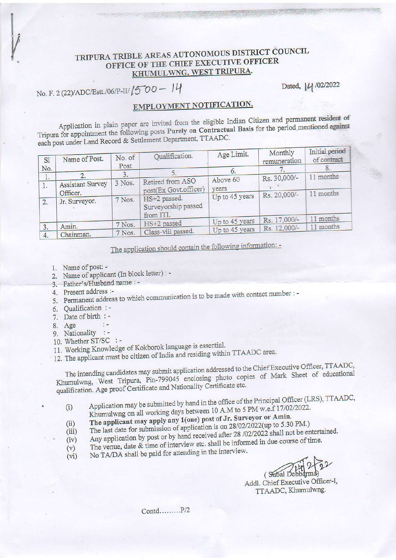## TRIPURA TRIBLE AREAS AUTONOMOUS DISTRICT COUNCIL OFFICE OF THE CHIEF EXECUTIVE OFFICER KHUMULWNG, WEST TRIPURA.

No. F. 2 (22)/ADC/Estt./06/P-II/ 1500 - 14

Dated, 14 /02/2022

## EMPLOYMENT NOTIFICATION.

Application in plain paper are invited from the eligible Indian Citizen and permanent resident of Tripura for appointment the following posts Purely on Contractual Basis for the period mentioned against each post under Land Record & Settlement Department, TTAADC.

| S1       | Name of Post.             | No. of<br>Post | Qualification.                                   | Age Limit.        | Monthly<br>remuneration | Initial period<br>of contract |
|----------|---------------------------|----------------|--------------------------------------------------|-------------------|-------------------------|-------------------------------|
| No.      | 2.                        |                |                                                  | $\circ$ .         |                         | o.<br>11 months               |
| I.<br>Δ. | <b>Assistant Survey</b>   | 3 Nos.         | Retired from ASO<br>post(Ex Govt.officer)        | Above 60<br>years | Rs. 30,000/-            |                               |
| 2.       | Officer.<br>Jr. Surveyor. | 7 Nos.         | HS+2 passed.<br>Surveyorship passed<br>from ITI. | Up to 45 years    | Rs. 20,000/-            | 11 months                     |
|          |                           | 7 Nos.         | HS+2 passed                                      | Up to 45 years    | Rs. 17,000/-            | months                        |
| 3.       | Amin.<br>Chainman.        | 7 Nos.         | Class-viii passed.                               | Up to 45 years    | Rs. 12,000/-            | 11 months                     |

The application should contain the following information: -

- 1. Name of post: -
- 2. Name of applicant (In block letter) : -

 $\mathcal{V}(\mathcal{C})$ 

- 3. Father's/Husband name: -
- 4. Present address :-
- 5. Permanent address to which communication is to be made with contact number : -
- 6. Qualification : -
- 7. Date of birth : -
- 8. Age
- 
- 9. Nationality :-10. Whether ST/SC :-
- 11. Working Knowledge of Kokborok language is essential.
- 12. The applicant must be citizen of India and residing within TTAADC area.

The intending candidates may submit application addressed to the Chief Executive Officer, TTAADC, Khumulwng, West Tripura, Pin-799045 enclosing photo copies of Mark Sheet of educational qualification. Age proof Certificate and Nationality Certificate etc.

- Application may be submitted by hand in the office of the Principal Officer (LRS), TTAADC, Khumulwng on all working days between 10 A.M to 5 PM w.e.f 17/02/2022.  $(i)$
- The applicant may apply any 1(one) post of Jr. Surveyor or Amin.
- The last date for submission of application is on 28/02/2022(up to 5.30 PM.)  $(ii)$
- Any application by post or by hand received after 28 /02/2022 shall not be entertained.  $(iii)$
- The venue, date & time of interview etc. shall be informed in due course of time.  $(iv)$
- $(v)$ No TA/DA shall be paid for attending in the interview.  $(vi)$

(Subal Debbarma)

Addl. Chief Executive Officer-I, TTAADC, Khumulwng.

Contd........P/2